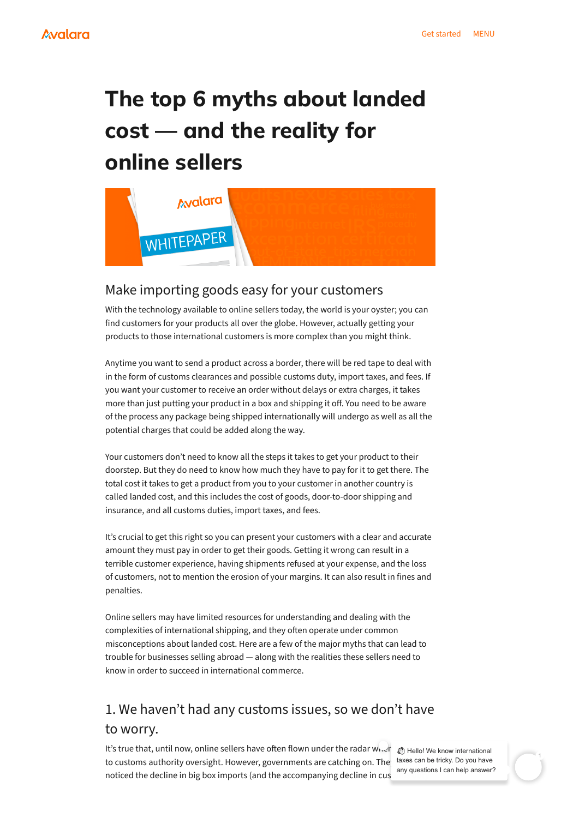With the technology available to online sellers today, the world is your oyster; you can find customers for your products all over the globe. However, actually getting your products to those international customers is more complex than you might think.

Anytime you want to send a product across a border, there will be red tape to deal with in the form of customs clearances and possible customs duty, import taxes, and fees. If you want your customer to receive an order without delays or extra charges, it takes more than just putting your product in a box and shipping it off. You need to be aware of the process any package being shipped internationally will undergo as well as all the potential charges that could be added along the way.

Your customers don't need to know all the steps it takes to get your product to their doorstep. But they do need to know how much they have to pay for it to get there. The total cost it takes to get a product from you to your customer in another country is called landed cost, and this includes the cost of goods, door-to-door shipping and insurance, and all customs duties, import taxes, and fees.

It's true that, until now, online sellers have often flown under the radar when to customs authority oversight. However, governments are catching on. The noticed the decline in big box imports (and the accompanying decline in cus thello! We know international taxes can be tricky. Do you have any questions I can help answer?

It's crucial to get this right so you can present your customers with a clear and accurate amount they must pay in order to get their goods. Getting it wrong can result in a terrible customer experience, having shipments refused at your expense, and the loss of customers, not to mention the erosion of your margins. It can also result in fines and penalties.

Online sellers may have limited resources for understanding and dealing with the complexities of international shipping, and they often operate under common misconceptions about landed cost. Here are a few of the major myths that can lead to trouble for businesses selling abroad — along with the realities these sellers need to know in order to succeed in international commerce.

# **The top 6 myths about landed cost — and the reality for online sellers**



### Make importing goods easy for your customers

# 1. We haven't had any customs issues, so we don't have to worry.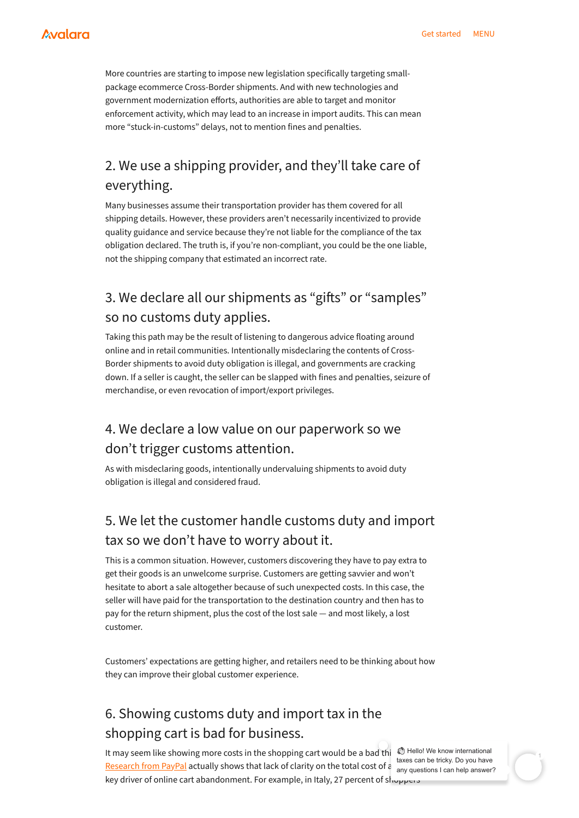More countries are starting to impose new legislation specifically targeting smallpackage ecommerce Cross-Border shipments. And with new technologies and government modernization efforts, authorities are able to target and monitor enforcement activity, which may lead to an increase in import audits. This can mean more "stuck-in-customs" delays, not to mention fines and penalties.

Many businesses assume their transportation provider has them covered for all shipping details. However, these providers aren't necessarily incentivized to provide quality guidance and service because they're not liable for the compliance of the tax obligation declared. The truth is, if you're non-compliant, you could be the one liable, not the shipping company that estimated an incorrect rate.

Taking this path may be the result of listening to dangerous advice floating around online and in retail communities. Intentionally misdeclaring the contents of Cross-Border shipments to avoid duty obligation is illegal, and governments are cracking down. If a seller is caught, the seller can be slapped with fines and penalties, seizure of merchandise, or even revocation of import/export privileges.

As with misdeclaring goods, intentionally undervaluing shipments to avoid duty obligation is illegal and considered fraud.

It may seem like showing more costs in the shopping cart would be a bad thi [Research](https://www.paypal.com/us/webapps/mpp/passport) from PayPal actually shows that lack of clarity on the total cost of a sany questions I can help answer? key driver of online cart abandonment. For example, in Italy, 27 percent of shoppers **In Hello! We know international** taxes can be tricky. Do you have

This is a common situation. However, customers discovering they have to pay extra to get their goods is an unwelcome surprise. Customers are getting savvier and won't hesitate to abort a sale altogether because of such unexpected costs. In this case, the seller will have paid for the transportation to the destination country and then has to pay for the return shipment, plus the cost of the lost sale — and most likely, a lost

customer.

Customers' expectations are getting higher, and retailers need to be thinking about how they can improve their global customer experience.

# 2. We use a shipping provider, and they'll take care of everything.

### 3. We declare all our shipments as "gifts" or "samples" so no customs duty applies.

### 4. We declare a low value on our paperwork so we don't trigger customs attention.

# 5. We let the customer handle customs duty and import tax so we don't have to worry about it.

## 6. Showing customs duty and import tax in the shopping cart is bad for business.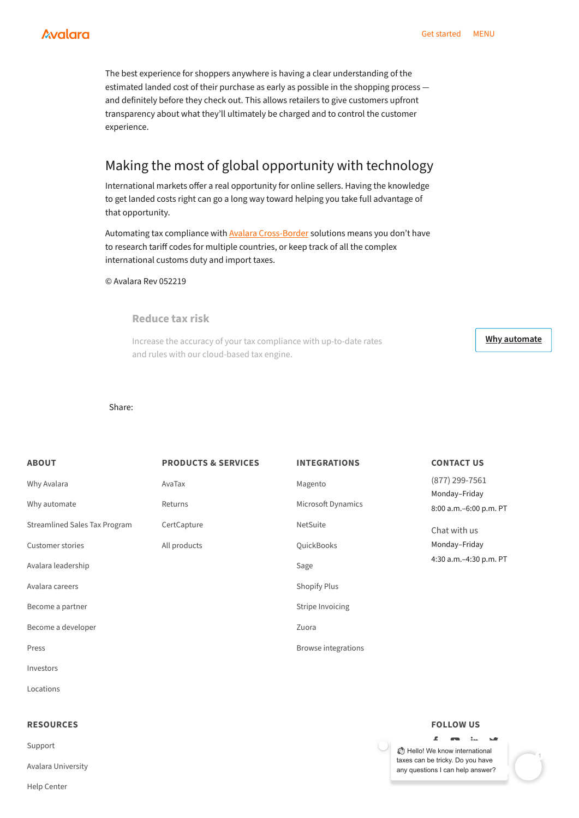The best experience for shoppers anywhere is having a clear understanding of the estimated landed cost of their purchase as early as possible in the shopping process and definitely before they check out. This allows retailers to give customers upfront transparency about what they'll ultimately be charged and to control the customer experience.

Automating tax compliance with **Avalara [Cross-Border](https://www.avalara.com/us/en/products/industry-solutions/cross-border-solutions.html)** solutions means you don't have to research tariff codes for multiple countries, or keep track of all the complex international customs duty and import taxes.

International markets offer a real opportunity for online sellers. Having the knowledge to get landed costs right can go a long way toward helping you take full advantage of that opportunity.

thello! We know international taxes can be tricky. Do you have any questions I can help answer?

© Avalara Rev 052219

#### Share:

#### Making the most of global opportunity with technology

#### **Reduce tax risk**

Increase the accuracy of your tax compliance with up-to-date rates and rules with our cloud-based tax engine.

**Why [automate](https://www.avalara.com/us/en/products/overview/why-automate.html)**

| Become a developer |  |  |  |
|--------------------|--|--|--|
|--------------------|--|--|--|

[Press](https://www.avalara.com/us/en/about/press.html)

[Investors](https://investor.avalara.com/home/default.aspx)

[Locations](https://www.avalara.com/us/en/about/locations.html)

| <b>ABOUT</b>                         | <b>PRODUCTS &amp; SERVICES</b> | <b>INTEGRATIONS</b> | <b>CONTACT US</b>                                                                              |
|--------------------------------------|--------------------------------|---------------------|------------------------------------------------------------------------------------------------|
| Why Avalara                          | AvaTax                         | Magento             | $(877)$ 299-7561<br>Monday-Friday<br>8:00 a.m. - 6:00 p.m. PT<br>Chat with us<br>Monday-Friday |
| Why automate                         | Returns                        | Microsoft Dynamics  |                                                                                                |
| <b>Streamlined Sales Tax Program</b> | CertCapture                    | <b>NetSuite</b>     |                                                                                                |
| <b>Customer stories</b>              | All products                   | QuickBooks          |                                                                                                |
| Avalara leadership                   |                                | Sage                | 4:30 a.m. - 4:30 p.m. PT                                                                       |
| Avalara careers                      |                                | <b>Shopify Plus</b> |                                                                                                |
| Become a partner                     |                                | Stripe Invoicing    |                                                                                                |

[Zuora](https://www.avalara.com/us/en/products/integrations/zuora.html)

Browse [integrations](https://www.avalara.com/us/en/products/integrations.html)

#### **RESOURCES**

[Support](https://www.avalara.com/us/en/about/support.html)

Avalara [University](https://training.avalara.com/)

Help [Center](https://help.avalara.com/)

#### **FOLLOW US**

 $\mathbf{r}$  and  $\mathbf{r}$